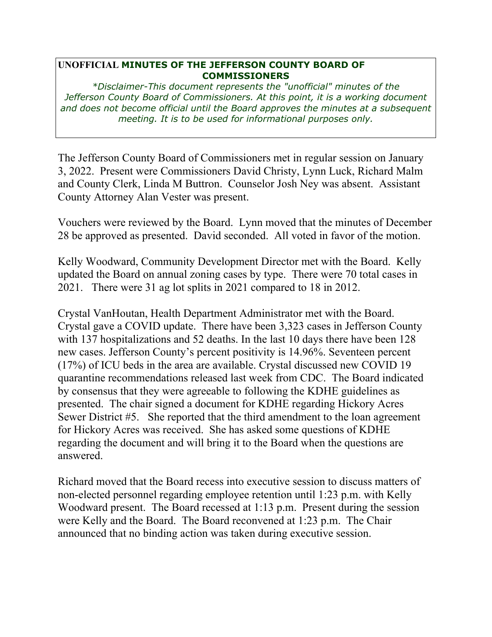## **UNOFFICIAL MINUTES OF THE JEFFERSON COUNTY BOARD OF COMMISSIONERS**

*\*Disclaimer-This document represents the "unofficial" minutes of the Jefferson County Board of Commissioners. At this point, it is a working document and does not become official until the Board approves the minutes at a subsequent meeting. It is to be used for informational purposes only.* 

The Jefferson County Board of Commissioners met in regular session on January 3, 2022. Present were Commissioners David Christy, Lynn Luck, Richard Malm and County Clerk, Linda M Buttron. Counselor Josh Ney was absent. Assistant County Attorney Alan Vester was present.

Vouchers were reviewed by the Board. Lynn moved that the minutes of December 28 be approved as presented. David seconded. All voted in favor of the motion.

Kelly Woodward, Community Development Director met with the Board. Kelly updated the Board on annual zoning cases by type. There were 70 total cases in 2021. There were 31 ag lot splits in 2021 compared to 18 in 2012.

Crystal VanHoutan, Health Department Administrator met with the Board. Crystal gave a COVID update. There have been 3,323 cases in Jefferson County with 137 hospitalizations and 52 deaths. In the last 10 days there have been 128 new cases. Jefferson County's percent positivity is 14.96%. Seventeen percent (17%) of ICU beds in the area are available. Crystal discussed new COVID 19 quarantine recommendations released last week from CDC. The Board indicated by consensus that they were agreeable to following the KDHE guidelines as presented. The chair signed a document for KDHE regarding Hickory Acres Sewer District #5. She reported that the third amendment to the loan agreement for Hickory Acres was received. She has asked some questions of KDHE regarding the document and will bring it to the Board when the questions are answered.

Richard moved that the Board recess into executive session to discuss matters of non-elected personnel regarding employee retention until 1:23 p.m. with Kelly Woodward present. The Board recessed at 1:13 p.m. Present during the session were Kelly and the Board. The Board reconvened at 1:23 p.m. The Chair announced that no binding action was taken during executive session.